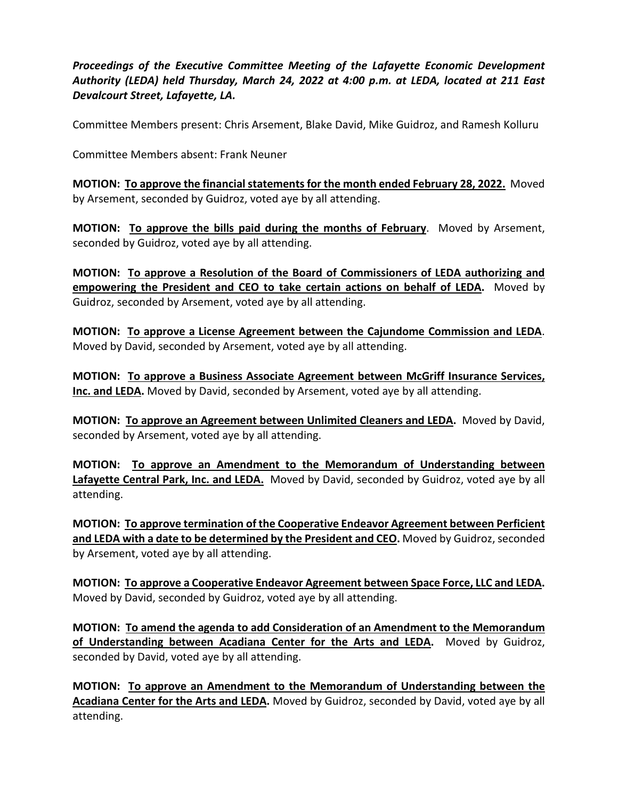*Proceedings of the Executive Committee Meeting of the Lafayette Economic Development Authority (LEDA) held Thursday, March 24, 2022 at 4:00 p.m. at LEDA, located at 211 East Devalcourt Street, Lafayette, LA.*

Committee Members present: Chris Arsement, Blake David, Mike Guidroz, and Ramesh Kolluru

Committee Members absent: Frank Neuner

**MOTION: To approve the financial statements for the month ended February 28, 2022.** Moved by Arsement, seconded by Guidroz, voted aye by all attending.

**MOTION: To approve the bills paid during the months of February**. Moved by Arsement, seconded by Guidroz, voted aye by all attending.

**MOTION: To approve a Resolution of the Board of Commissioners of LEDA authorizing and empowering the President and CEO to take certain actions on behalf of LEDA.** Moved by Guidroz, seconded by Arsement, voted aye by all attending.

**MOTION: To approve a License Agreement between the Cajundome Commission and LEDA**. Moved by David, seconded by Arsement, voted aye by all attending.

**MOTION: To approve a Business Associate Agreement between McGriff Insurance Services, Inc. and LEDA.** Moved by David, seconded by Arsement, voted aye by all attending.

**MOTION: To approve an Agreement between Unlimited Cleaners and LEDA.** Moved by David, seconded by Arsement, voted aye by all attending.

**MOTION: To approve an Amendment to the Memorandum of Understanding between**  Lafayette Central Park, Inc. and LEDA. Moved by David, seconded by Guidroz, voted aye by all attending.

**MOTION: To approve termination of the Cooperative Endeavor Agreement between Perficient and LEDA with a date to be determined by the President and CEO.** Moved by Guidroz, seconded by Arsement, voted aye by all attending.

**MOTION: To approve a Cooperative Endeavor Agreement between Space Force, LLC and LEDA.** Moved by David, seconded by Guidroz, voted aye by all attending.

**MOTION: To amend the agenda to add Consideration of an Amendment to the Memorandum of Understanding between Acadiana Center for the Arts and LEDA.** Moved by Guidroz, seconded by David, voted aye by all attending.

**MOTION: To approve an Amendment to the Memorandum of Understanding between the Acadiana Center for the Arts and LEDA.** Moved by Guidroz, seconded by David, voted aye by all attending.